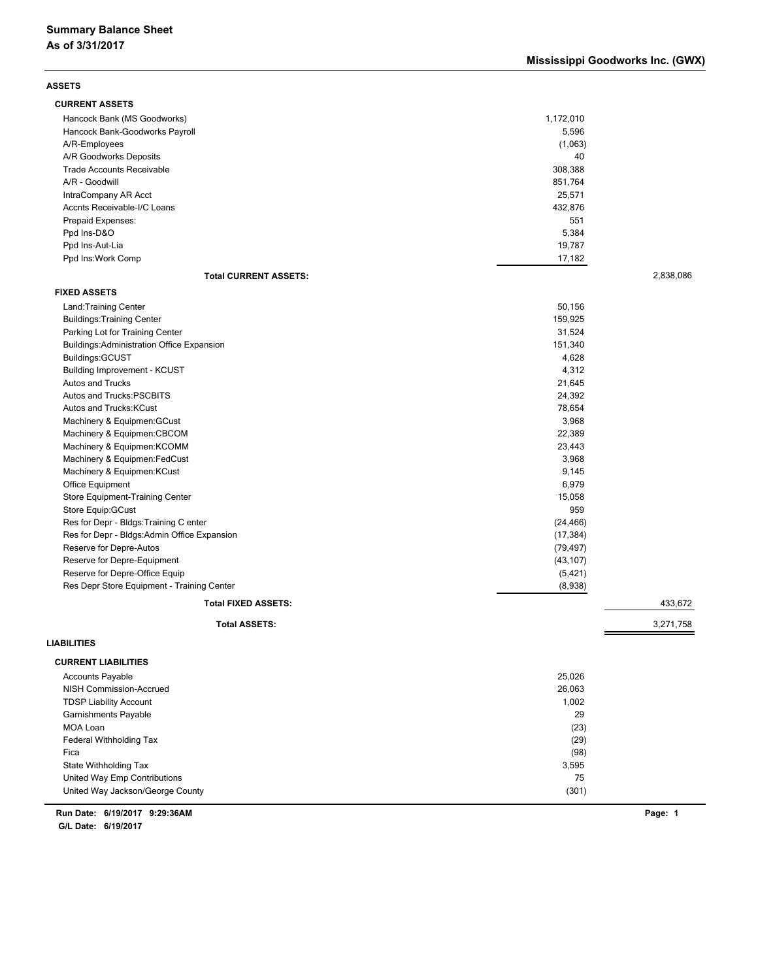| <b>ASSETS</b>                                    |           |           |
|--------------------------------------------------|-----------|-----------|
| <b>CURRENT ASSETS</b>                            |           |           |
| Hancock Bank (MS Goodworks)                      | 1,172,010 |           |
| Hancock Bank-Goodworks Payroll                   | 5,596     |           |
| A/R-Employees                                    | (1,063)   |           |
| A/R Goodworks Deposits                           | 40        |           |
| <b>Trade Accounts Receivable</b>                 | 308,388   |           |
| A/R - Goodwill                                   | 851,764   |           |
| IntraCompany AR Acct                             | 25,571    |           |
| Accnts Receivable-I/C Loans                      | 432,876   |           |
| Prepaid Expenses:                                | 551       |           |
| Ppd Ins-D&O                                      | 5,384     |           |
| Ppd Ins-Aut-Lia                                  | 19,787    |           |
| Ppd Ins: Work Comp                               | 17,182    |           |
| <b>Total CURRENT ASSETS:</b>                     |           | 2,838,086 |
| <b>FIXED ASSETS</b>                              |           |           |
|                                                  |           |           |
| Land: Training Center                            | 50,156    |           |
| <b>Buildings: Training Center</b>                | 159,925   |           |
| Parking Lot for Training Center                  | 31,524    |           |
| <b>Buildings:Administration Office Expansion</b> | 151,340   |           |
| Buildings: GCUST                                 | 4,628     |           |
| Building Improvement - KCUST                     | 4,312     |           |
| Autos and Trucks                                 | 21,645    |           |
| Autos and Trucks:PSCBITS                         | 24,392    |           |
| Autos and Trucks: KCust                          | 78,654    |           |
| Machinery & Equipmen: GCust                      | 3,968     |           |
| Machinery & Equipmen:CBCOM                       | 22,389    |           |
| Machinery & Equipmen: KCOMM                      | 23,443    |           |
| Machinery & Equipmen: FedCust                    | 3,968     |           |
| Machinery & Equipmen: KCust                      | 9,145     |           |
| Office Equipment                                 | 6,979     |           |
| Store Equipment-Training Center                  | 15,058    |           |
| Store Equip: GCust                               | 959       |           |
| Res for Depr - Bldgs: Training C enter           | (24, 466) |           |
| Res for Depr - Bldgs: Admin Office Expansion     | (17, 384) |           |
| Reserve for Depre-Autos                          | (79, 497) |           |
| Reserve for Depre-Equipment                      | (43, 107) |           |
| Reserve for Depre-Office Equip                   | (5, 421)  |           |
| Res Depr Store Equipment - Training Center       | (8,938)   |           |
| <b>Total FIXED ASSETS:</b>                       |           | 433,672   |
|                                                  |           |           |
| <b>Total ASSETS:</b>                             |           | 3,271,758 |
| <b>LIABILITIES</b>                               |           |           |
| <b>CURRENT LIABILITIES</b>                       |           |           |
| <b>Accounts Payable</b>                          | 25,026    |           |
| NISH Commission-Accrued                          | 26,063    |           |
| <b>TDSP Liability Account</b>                    | 1,002     |           |
| Garnishments Payable                             | 29        |           |
| MOA Loan                                         | (23)      |           |
| Federal Withholding Tax                          | (29)      |           |
| Fica                                             | (98)      |           |
| State Withholding Tax                            | 3,595     |           |
| United Way Emp Contributions                     | 75        |           |
| United Way Jackson/George County                 | (301)     |           |
|                                                  |           |           |

**6/19/2017 9:29:36AM Run Date: Page: 1**

**G/L Date: 6/19/2017**